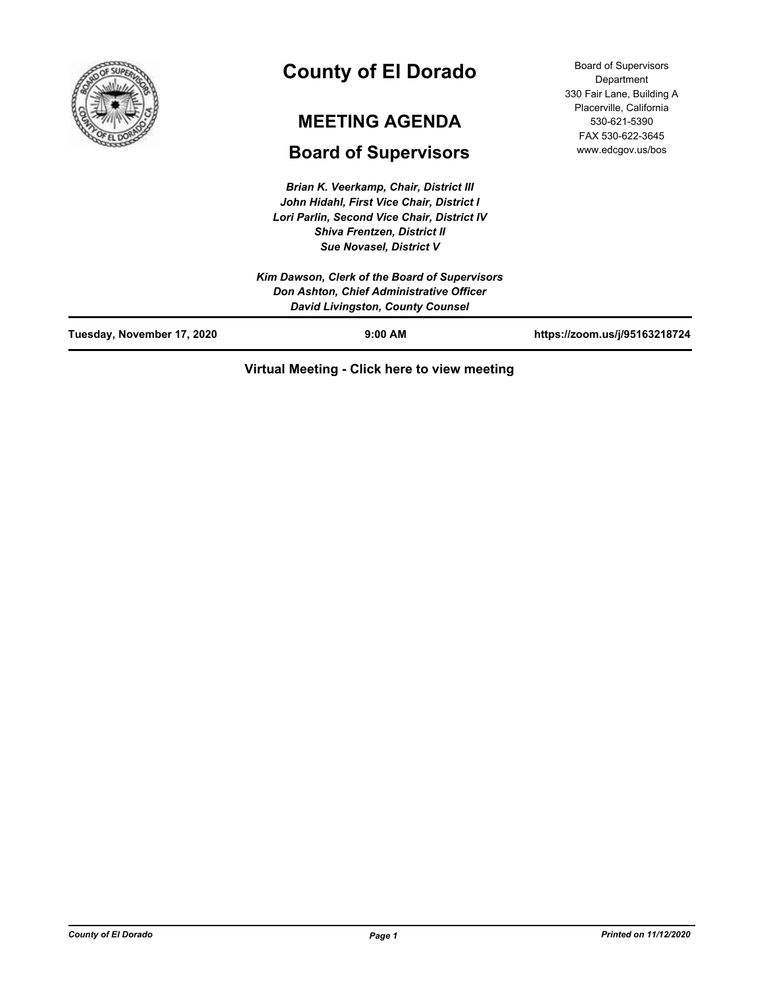

# **County of El Dorado**

## **MEETING AGENDA**

## **Board of Supervisors**

*Brian K. Veerkamp, Chair, District III John Hidahl, First Vice Chair, District I Lori Parlin, Second Vice Chair, District IV Shiva Frentzen, District II Sue Novasel, District V*

| <b>Board of Supervisors</b> |
|-----------------------------|
| Department                  |
| 330 Fair Lane, Building A   |
| Placerville, California     |
| 530-621-5390                |
| FAX 530-622-3645            |
| www.edcgov.us/bos           |

|                            | Kim Dawson, Clerk of the Board of Supervisors<br>Don Ashton, Chief Administrative Officer<br><b>David Livingston, County Counsel</b> |                               |
|----------------------------|--------------------------------------------------------------------------------------------------------------------------------------|-------------------------------|
| Tuesday, November 17, 2020 | $9:00$ AM                                                                                                                            | https://zoom.us/j/95163218724 |

## **Virtual Meeting - Click here to view meeting**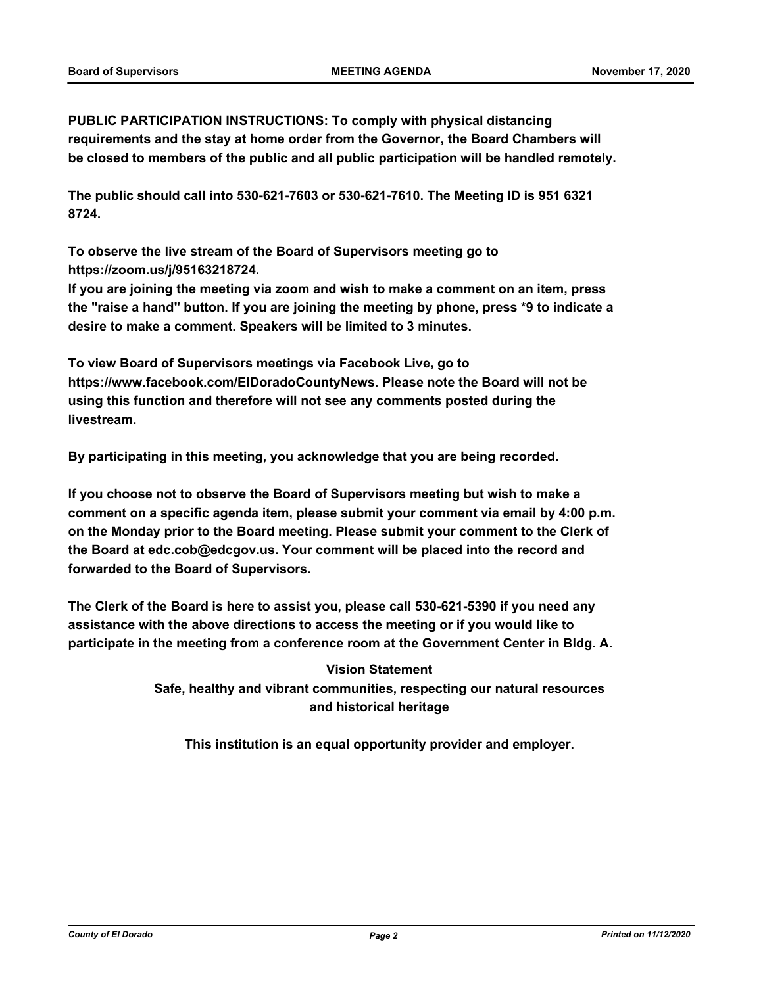**PUBLIC PARTICIPATION INSTRUCTIONS: To comply with physical distancing requirements and the stay at home order from the Governor, the Board Chambers will be closed to members of the public and all public participation will be handled remotely.** 

**The public should call into 530-621-7603 or 530-621-7610. The Meeting ID is 951 6321 8724.** 

**To observe the live stream of the Board of Supervisors meeting go to https://zoom.us/j/95163218724.** 

**If you are joining the meeting via zoom and wish to make a comment on an item, press the "raise a hand" button. If you are joining the meeting by phone, press \*9 to indicate a desire to make a comment. Speakers will be limited to 3 minutes.** 

**To view Board of Supervisors meetings via Facebook Live, go to https://www.facebook.com/ElDoradoCountyNews. Please note the Board will not be using this function and therefore will not see any comments posted during the livestream.** 

**By participating in this meeting, you acknowledge that you are being recorded.**

**If you choose not to observe the Board of Supervisors meeting but wish to make a comment on a specific agenda item, please submit your comment via email by 4:00 p.m. on the Monday prior to the Board meeting. Please submit your comment to the Clerk of the Board at edc.cob@edcgov.us. Your comment will be placed into the record and forwarded to the Board of Supervisors.** 

**The Clerk of the Board is here to assist you, please call 530-621-5390 if you need any assistance with the above directions to access the meeting or if you would like to participate in the meeting from a conference room at the Government Center in Bldg. A.**

**Vision Statement** 

**Safe, healthy and vibrant communities, respecting our natural resources and historical heritage**

**This institution is an equal opportunity provider and employer.**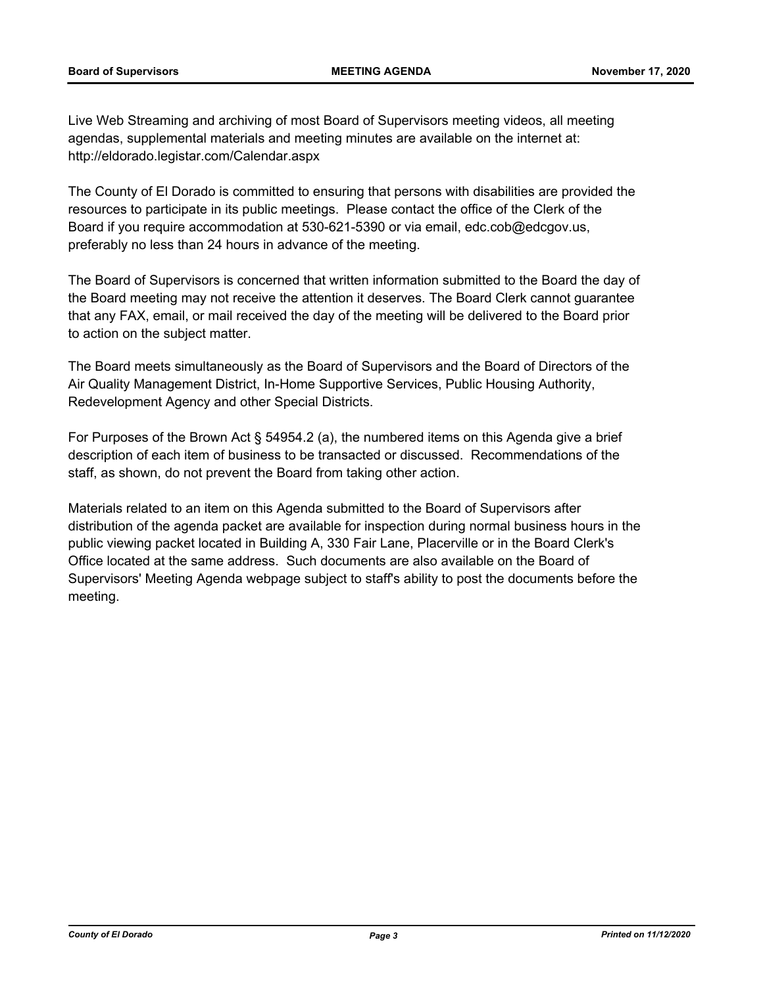Live Web Streaming and archiving of most Board of Supervisors meeting videos, all meeting agendas, supplemental materials and meeting minutes are available on the internet at: http://eldorado.legistar.com/Calendar.aspx

The County of El Dorado is committed to ensuring that persons with disabilities are provided the resources to participate in its public meetings. Please contact the office of the Clerk of the Board if you require accommodation at 530-621-5390 or via email, edc.cob@edcgov.us, preferably no less than 24 hours in advance of the meeting.

The Board of Supervisors is concerned that written information submitted to the Board the day of the Board meeting may not receive the attention it deserves. The Board Clerk cannot guarantee that any FAX, email, or mail received the day of the meeting will be delivered to the Board prior to action on the subject matter.

The Board meets simultaneously as the Board of Supervisors and the Board of Directors of the Air Quality Management District, In-Home Supportive Services, Public Housing Authority, Redevelopment Agency and other Special Districts.

For Purposes of the Brown Act § 54954.2 (a), the numbered items on this Agenda give a brief description of each item of business to be transacted or discussed. Recommendations of the staff, as shown, do not prevent the Board from taking other action.

Materials related to an item on this Agenda submitted to the Board of Supervisors after distribution of the agenda packet are available for inspection during normal business hours in the public viewing packet located in Building A, 330 Fair Lane, Placerville or in the Board Clerk's Office located at the same address. Such documents are also available on the Board of Supervisors' Meeting Agenda webpage subject to staff's ability to post the documents before the meeting.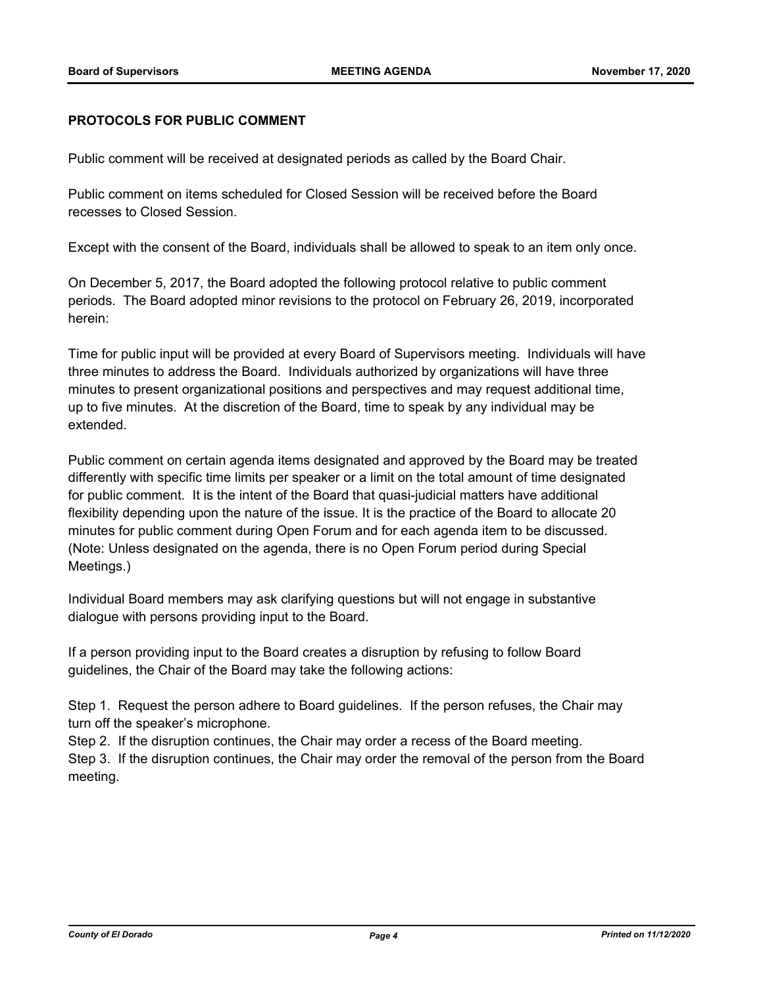## **PROTOCOLS FOR PUBLIC COMMENT**

Public comment will be received at designated periods as called by the Board Chair.

Public comment on items scheduled for Closed Session will be received before the Board recesses to Closed Session.

Except with the consent of the Board, individuals shall be allowed to speak to an item only once.

On December 5, 2017, the Board adopted the following protocol relative to public comment periods. The Board adopted minor revisions to the protocol on February 26, 2019, incorporated herein:

Time for public input will be provided at every Board of Supervisors meeting. Individuals will have three minutes to address the Board. Individuals authorized by organizations will have three minutes to present organizational positions and perspectives and may request additional time, up to five minutes. At the discretion of the Board, time to speak by any individual may be extended.

Public comment on certain agenda items designated and approved by the Board may be treated differently with specific time limits per speaker or a limit on the total amount of time designated for public comment. It is the intent of the Board that quasi-judicial matters have additional flexibility depending upon the nature of the issue. It is the practice of the Board to allocate 20 minutes for public comment during Open Forum and for each agenda item to be discussed. (Note: Unless designated on the agenda, there is no Open Forum period during Special Meetings.)

Individual Board members may ask clarifying questions but will not engage in substantive dialogue with persons providing input to the Board.

If a person providing input to the Board creates a disruption by refusing to follow Board guidelines, the Chair of the Board may take the following actions:

Step 1. Request the person adhere to Board guidelines. If the person refuses, the Chair may turn off the speaker's microphone.

Step 2. If the disruption continues, the Chair may order a recess of the Board meeting.

Step 3. If the disruption continues, the Chair may order the removal of the person from the Board meeting.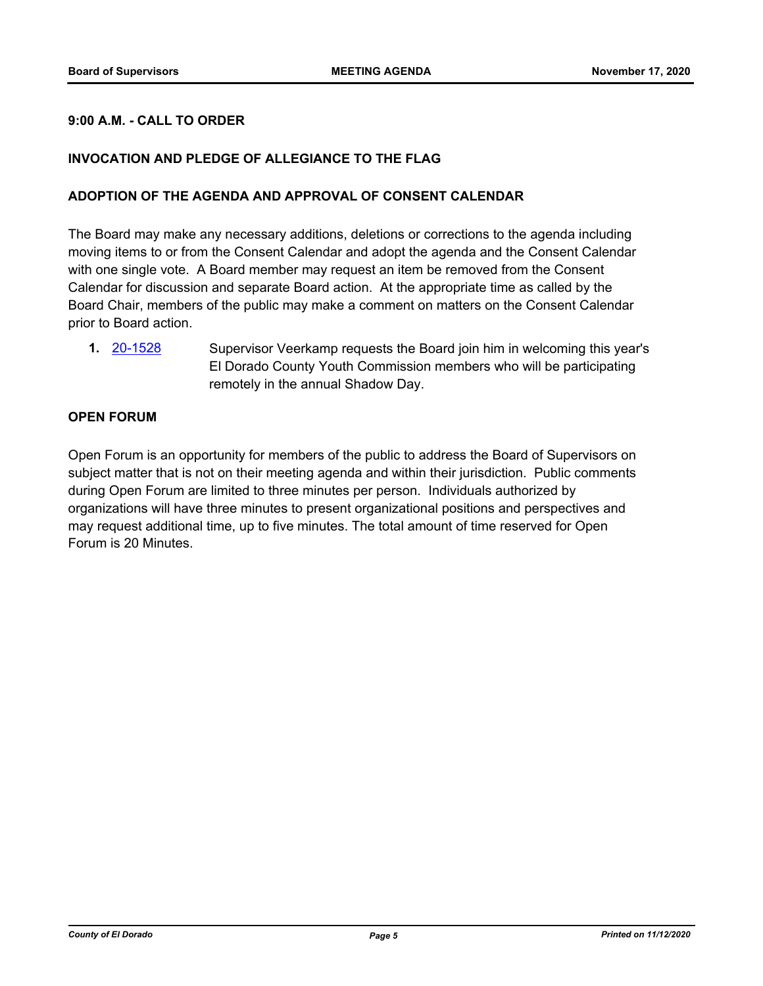## **9:00 A.M. - CALL TO ORDER**

## **INVOCATION AND PLEDGE OF ALLEGIANCE TO THE FLAG**

#### **ADOPTION OF THE AGENDA AND APPROVAL OF CONSENT CALENDAR**

The Board may make any necessary additions, deletions or corrections to the agenda including moving items to or from the Consent Calendar and adopt the agenda and the Consent Calendar with one single vote. A Board member may request an item be removed from the Consent Calendar for discussion and separate Board action. At the appropriate time as called by the Board Chair, members of the public may make a comment on matters on the Consent Calendar prior to Board action.

**1.** [20-1528](http://eldorado.legistar.com/gateway.aspx?m=l&id=/matter.aspx?key=28737) Supervisor Veerkamp requests the Board join him in welcoming this year's El Dorado County Youth Commission members who will be participating remotely in the annual Shadow Day.

#### **OPEN FORUM**

Open Forum is an opportunity for members of the public to address the Board of Supervisors on subject matter that is not on their meeting agenda and within their jurisdiction. Public comments during Open Forum are limited to three minutes per person. Individuals authorized by organizations will have three minutes to present organizational positions and perspectives and may request additional time, up to five minutes. The total amount of time reserved for Open Forum is 20 Minutes.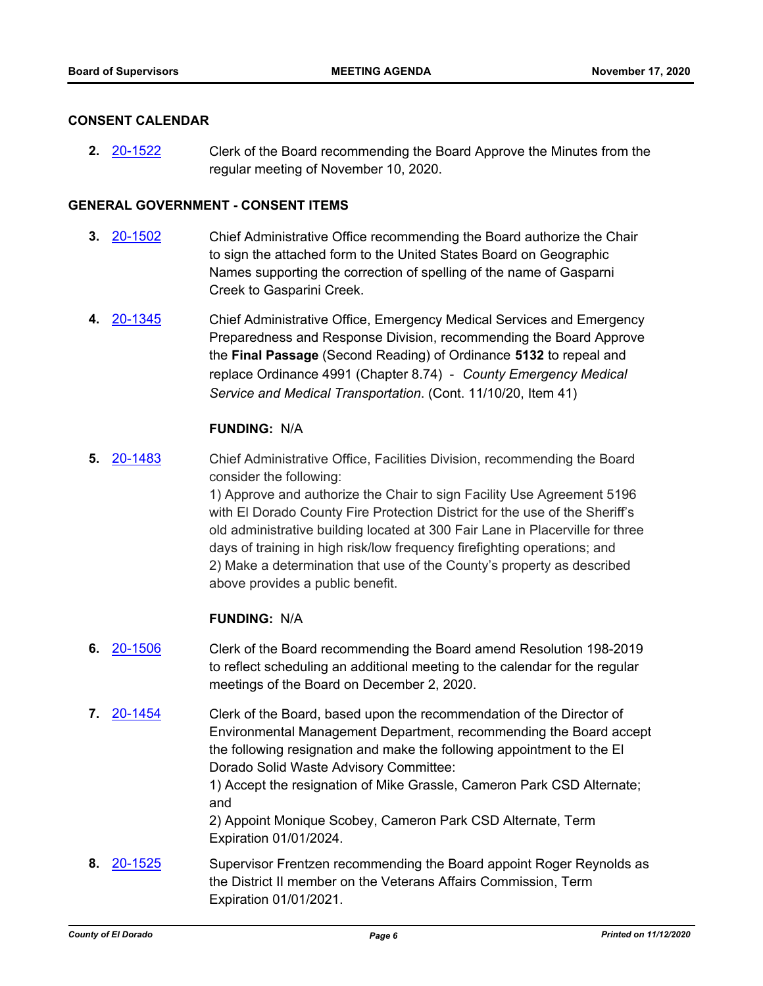#### **CONSENT CALENDAR**

**2.** [20-1522](http://eldorado.legistar.com/gateway.aspx?m=l&id=/matter.aspx?key=28731) Clerk of the Board recommending the Board Approve the Minutes from the regular meeting of November 10, 2020.

#### **GENERAL GOVERNMENT - CONSENT ITEMS**

- **3.** [20-1502](http://eldorado.legistar.com/gateway.aspx?m=l&id=/matter.aspx?key=28711) Chief Administrative Office recommending the Board authorize the Chair to sign the attached form to the United States Board on Geographic Names supporting the correction of spelling of the name of Gasparni Creek to Gasparini Creek.
- **4.** [20-1345](http://eldorado.legistar.com/gateway.aspx?m=l&id=/matter.aspx?key=28553) Chief Administrative Office, Emergency Medical Services and Emergency Preparedness and Response Division, recommending the Board Approve the **Final Passage** (Second Reading) of Ordinance **5132** to repeal and replace Ordinance 4991 (Chapter 8.74) - *County Emergency Medical Service and Medical Transportation*. (Cont. 11/10/20, Item 41)

#### **FUNDING:** N/A

**5.** [20-1483](http://eldorado.legistar.com/gateway.aspx?m=l&id=/matter.aspx?key=28692) Chief Administrative Office, Facilities Division, recommending the Board consider the following:

> 1) Approve and authorize the Chair to sign Facility Use Agreement 5196 with El Dorado County Fire Protection District for the use of the Sheriff's old administrative building located at 300 Fair Lane in Placerville for three days of training in high risk/low frequency firefighting operations; and 2) Make a determination that use of the County's property as described above provides a public benefit.

#### **FUNDING:** N/A

- **6.** [20-1506](http://eldorado.legistar.com/gateway.aspx?m=l&id=/matter.aspx?key=28715) Clerk of the Board recommending the Board amend Resolution 198-2019 to reflect scheduling an additional meeting to the calendar for the regular meetings of the Board on December 2, 2020.
- **7.** [20-1454](http://eldorado.legistar.com/gateway.aspx?m=l&id=/matter.aspx?key=28663) Clerk of the Board, based upon the recommendation of the Director of Environmental Management Department, recommending the Board accept the following resignation and make the following appointment to the El Dorado Solid Waste Advisory Committee:

1) Accept the resignation of Mike Grassle, Cameron Park CSD Alternate; and

2) Appoint Monique Scobey, Cameron Park CSD Alternate, Term Expiration 01/01/2024.

**8.** [20-1525](http://eldorado.legistar.com/gateway.aspx?m=l&id=/matter.aspx?key=28734) Supervisor Frentzen recommending the Board appoint Roger Reynolds as the District II member on the Veterans Affairs Commission, Term Expiration 01/01/2021.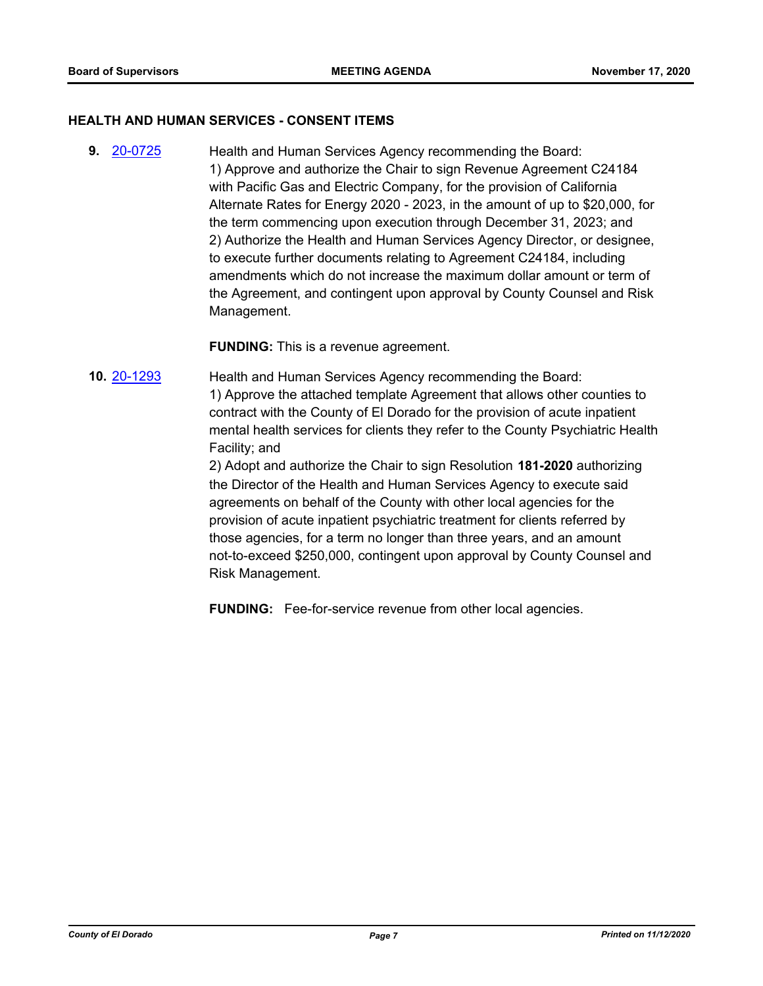#### **HEALTH AND HUMAN SERVICES - CONSENT ITEMS**

**9.** [20-0725](http://eldorado.legistar.com/gateway.aspx?m=l&id=/matter.aspx?key=27932) Health and Human Services Agency recommending the Board: 1) Approve and authorize the Chair to sign Revenue Agreement C24184 with Pacific Gas and Electric Company, for the provision of California Alternate Rates for Energy 2020 - 2023, in the amount of up to \$20,000, for the term commencing upon execution through December 31, 2023; and 2) Authorize the Health and Human Services Agency Director, or designee, to execute further documents relating to Agreement C24184, including amendments which do not increase the maximum dollar amount or term of the Agreement, and contingent upon approval by County Counsel and Risk Management.

**FUNDING:** This is a revenue agreement.

**10.** [20-1293](http://eldorado.legistar.com/gateway.aspx?m=l&id=/matter.aspx?key=28501) Health and Human Services Agency recommending the Board: 1) Approve the attached template Agreement that allows other counties to contract with the County of El Dorado for the provision of acute inpatient mental health services for clients they refer to the County Psychiatric Health Facility; and

> 2) Adopt and authorize the Chair to sign Resolution **181-2020** authorizing the Director of the Health and Human Services Agency to execute said agreements on behalf of the County with other local agencies for the provision of acute inpatient psychiatric treatment for clients referred by those agencies, for a term no longer than three years, and an amount not-to-exceed \$250,000, contingent upon approval by County Counsel and Risk Management.

**FUNDING:** Fee-for-service revenue from other local agencies.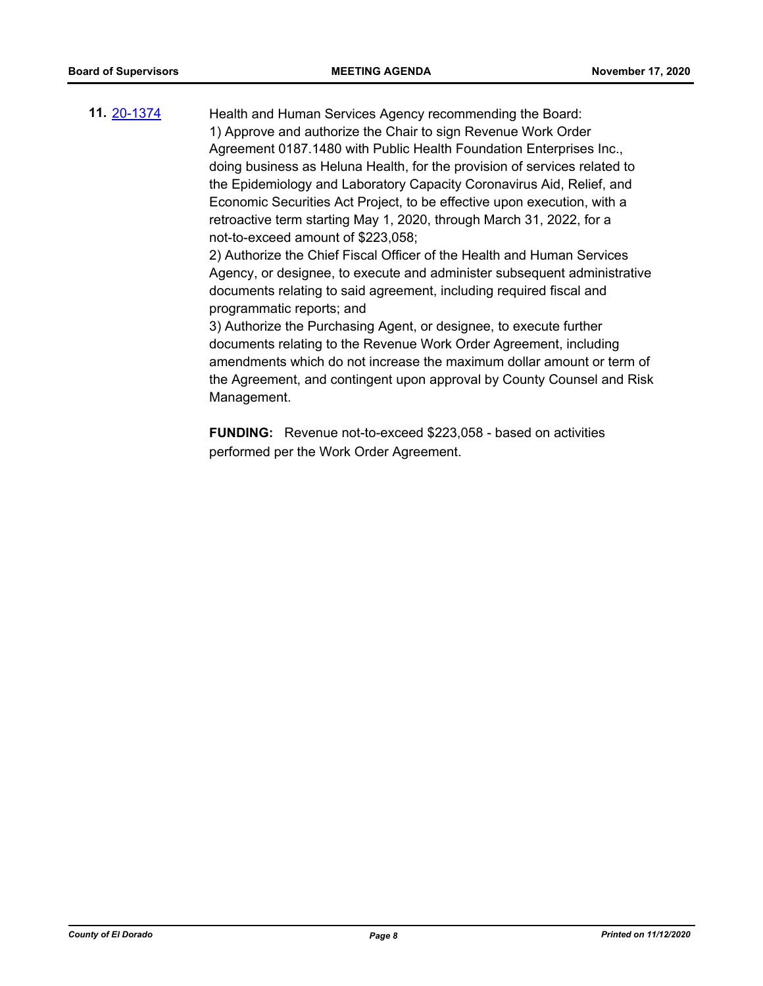**11.** [20-1374](http://eldorado.legistar.com/gateway.aspx?m=l&id=/matter.aspx?key=28583) Health and Human Services Agency recommending the Board: 1) Approve and authorize the Chair to sign Revenue Work Order Agreement 0187.1480 with Public Health Foundation Enterprises Inc., doing business as Heluna Health, for the provision of services related to the Epidemiology and Laboratory Capacity Coronavirus Aid, Relief, and Economic Securities Act Project, to be effective upon execution, with a retroactive term starting May 1, 2020, through March 31, 2022, for a not-to-exceed amount of \$223,058; 2) Authorize the Chief Fiscal Officer of the Health and Human Services

Agency, or designee, to execute and administer subsequent administrative documents relating to said agreement, including required fiscal and programmatic reports; and

3) Authorize the Purchasing Agent, or designee, to execute further documents relating to the Revenue Work Order Agreement, including amendments which do not increase the maximum dollar amount or term of the Agreement, and contingent upon approval by County Counsel and Risk Management.

**FUNDING:** Revenue not-to-exceed \$223,058 - based on activities performed per the Work Order Agreement.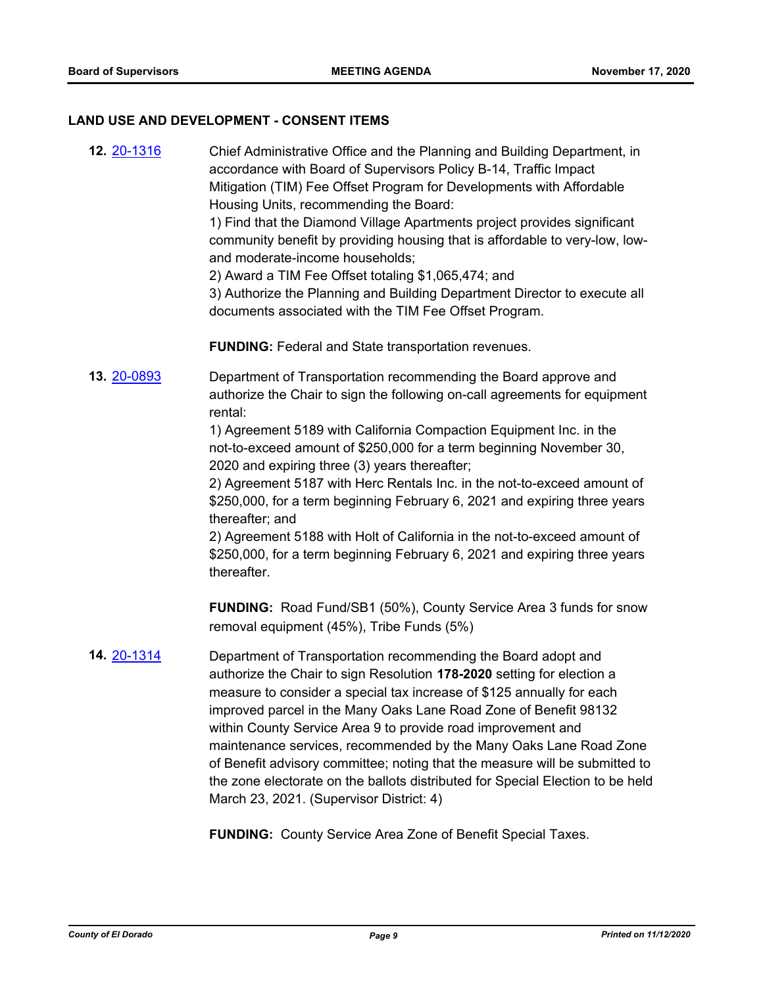## **LAND USE AND DEVELOPMENT - CONSENT ITEMS**

| 12. 20-1316 | Chief Administrative Office and the Planning and Building Department, in<br>accordance with Board of Supervisors Policy B-14, Traffic Impact<br>Mitigation (TIM) Fee Offset Program for Developments with Affordable<br>Housing Units, recommending the Board:<br>1) Find that the Diamond Village Apartments project provides significant<br>community benefit by providing housing that is affordable to very-low, low-<br>and moderate-income households;<br>2) Award a TIM Fee Offset totaling \$1,065,474; and<br>3) Authorize the Planning and Building Department Director to execute all<br>documents associated with the TIM Fee Offset Program. |
|-------------|-----------------------------------------------------------------------------------------------------------------------------------------------------------------------------------------------------------------------------------------------------------------------------------------------------------------------------------------------------------------------------------------------------------------------------------------------------------------------------------------------------------------------------------------------------------------------------------------------------------------------------------------------------------|
|             | <b>FUNDING: Federal and State transportation revenues.</b>                                                                                                                                                                                                                                                                                                                                                                                                                                                                                                                                                                                                |
| 13. 20-0893 | Department of Transportation recommending the Board approve and<br>authorize the Chair to sign the following on-call agreements for equipment<br>rental:                                                                                                                                                                                                                                                                                                                                                                                                                                                                                                  |
|             | 1) Agreement 5189 with California Compaction Equipment Inc. in the<br>not-to-exceed amount of \$250,000 for a term beginning November 30,<br>2020 and expiring three (3) years thereafter;                                                                                                                                                                                                                                                                                                                                                                                                                                                                |
|             | 2) Agreement 5187 with Herc Rentals Inc. in the not-to-exceed amount of<br>\$250,000, for a term beginning February 6, 2021 and expiring three years<br>thereafter; and                                                                                                                                                                                                                                                                                                                                                                                                                                                                                   |
|             | 2) Agreement 5188 with Holt of California in the not-to-exceed amount of<br>\$250,000, for a term beginning February 6, 2021 and expiring three years<br>thereafter.                                                                                                                                                                                                                                                                                                                                                                                                                                                                                      |
|             | FUNDING: Road Fund/SB1 (50%), County Service Area 3 funds for snow<br>removal equipment (45%), Tribe Funds (5%)                                                                                                                                                                                                                                                                                                                                                                                                                                                                                                                                           |
| 14. 20-1314 | Department of Transportation recommending the Board adopt and<br>authorize the Chair to sign Resolution 178-2020 setting for election a<br>measure to consider a special tax increase of \$125 annually for each<br>improved parcel in the Many Oaks Lane Road Zone of Benefit 98132<br>within County Service Area 9 to provide road improvement and<br>maintenance services, recommended by the Many Oaks Lane Road Zone<br>of Benefit advisory committee; noting that the measure will be submitted to<br>the zone electorate on the ballots distributed for Special Election to be held<br>March 23, 2021. (Supervisor District: 4)                    |
|             | <b>FUNDING:</b> County Service Area Zone of Benefit Special Taxes.                                                                                                                                                                                                                                                                                                                                                                                                                                                                                                                                                                                        |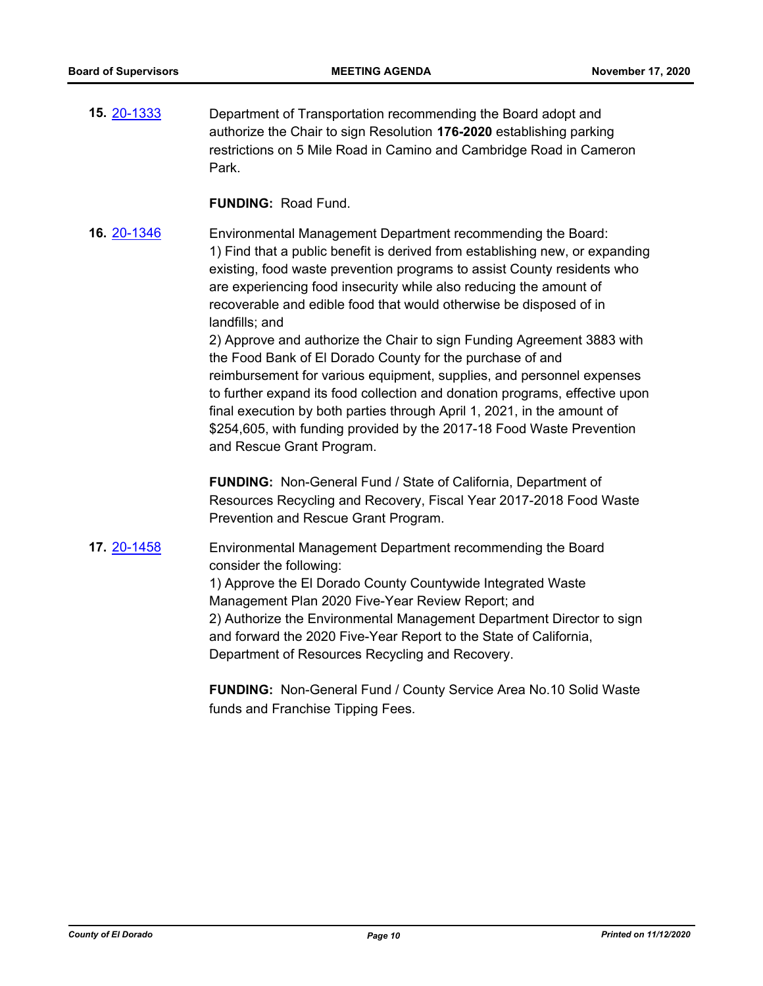**15.** [20-1333](http://eldorado.legistar.com/gateway.aspx?m=l&id=/matter.aspx?key=28541) Department of Transportation recommending the Board adopt and authorize the Chair to sign Resolution **176-2020** establishing parking restrictions on 5 Mile Road in Camino and Cambridge Road in Cameron Park.

**FUNDING:** Road Fund.

**16.** [20-1346](http://eldorado.legistar.com/gateway.aspx?m=l&id=/matter.aspx?key=28554) Environmental Management Department recommending the Board: 1) Find that a public benefit is derived from establishing new, or expanding existing, food waste prevention programs to assist County residents who are experiencing food insecurity while also reducing the amount of recoverable and edible food that would otherwise be disposed of in landfills; and

> 2) Approve and authorize the Chair to sign Funding Agreement 3883 with the Food Bank of El Dorado County for the purchase of and reimbursement for various equipment, supplies, and personnel expenses to further expand its food collection and donation programs, effective upon final execution by both parties through April 1, 2021, in the amount of \$254,605, with funding provided by the 2017-18 Food Waste Prevention and Rescue Grant Program.

**FUNDING:** Non-General Fund / State of California, Department of Resources Recycling and Recovery, Fiscal Year 2017-2018 Food Waste Prevention and Rescue Grant Program.

**17.** [20-1458](http://eldorado.legistar.com/gateway.aspx?m=l&id=/matter.aspx?key=28667) Environmental Management Department recommending the Board consider the following: 1) Approve the El Dorado County Countywide Integrated Waste Management Plan 2020 Five-Year Review Report; and 2) Authorize the Environmental Management Department Director to sign and forward the 2020 Five-Year Report to the State of California, Department of Resources Recycling and Recovery.

**FUNDING:** Non-General Fund / County Service Area No.10 Solid Waste funds and Franchise Tipping Fees.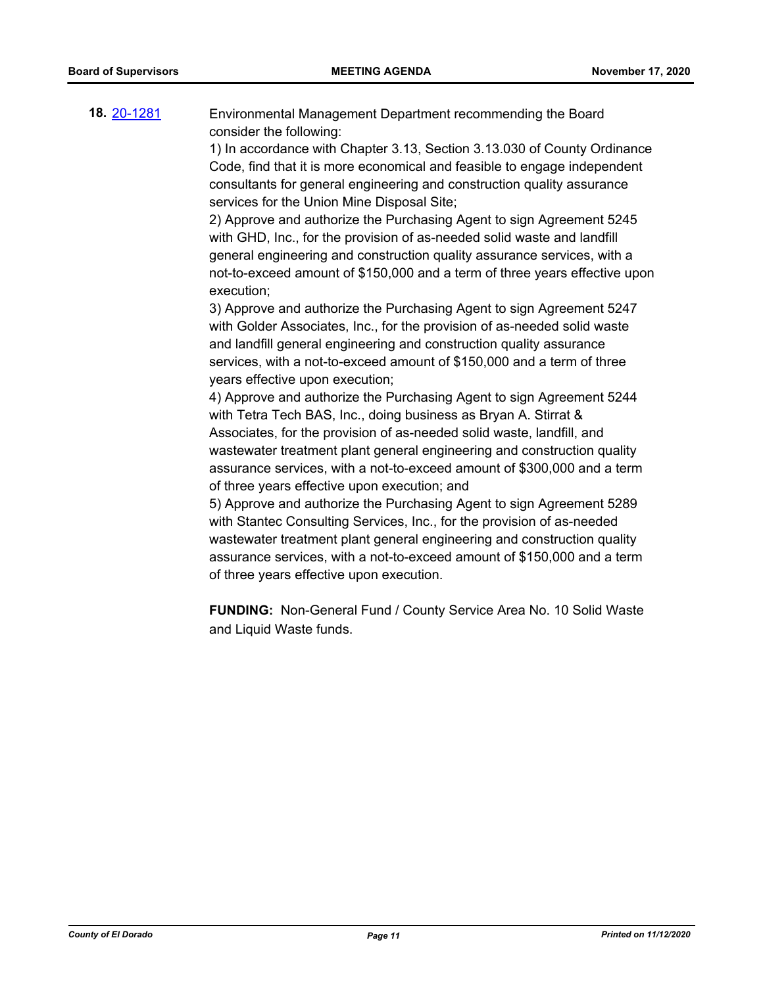**18.** [20-1281](http://eldorado.legistar.com/gateway.aspx?m=l&id=/matter.aspx?key=28489) Environmental Management Department recommending the Board consider the following:

> 1) In accordance with Chapter 3.13, Section 3.13.030 of County Ordinance Code, find that it is more economical and feasible to engage independent consultants for general engineering and construction quality assurance services for the Union Mine Disposal Site;

> 2) Approve and authorize the Purchasing Agent to sign Agreement 5245 with GHD, Inc., for the provision of as-needed solid waste and landfill general engineering and construction quality assurance services, with a not-to-exceed amount of \$150,000 and a term of three years effective upon execution;

3) Approve and authorize the Purchasing Agent to sign Agreement 5247 with Golder Associates, Inc., for the provision of as-needed solid waste and landfill general engineering and construction quality assurance services, with a not-to-exceed amount of \$150,000 and a term of three years effective upon execution;

4) Approve and authorize the Purchasing Agent to sign Agreement 5244 with Tetra Tech BAS, Inc., doing business as Bryan A. Stirrat & Associates, for the provision of as-needed solid waste, landfill, and wastewater treatment plant general engineering and construction quality assurance services, with a not-to-exceed amount of \$300,000 and a term of three years effective upon execution; and

5) Approve and authorize the Purchasing Agent to sign Agreement 5289 with Stantec Consulting Services, Inc., for the provision of as-needed wastewater treatment plant general engineering and construction quality assurance services, with a not-to-exceed amount of \$150,000 and a term of three years effective upon execution.

**FUNDING:** Non-General Fund / County Service Area No. 10 Solid Waste and Liquid Waste funds.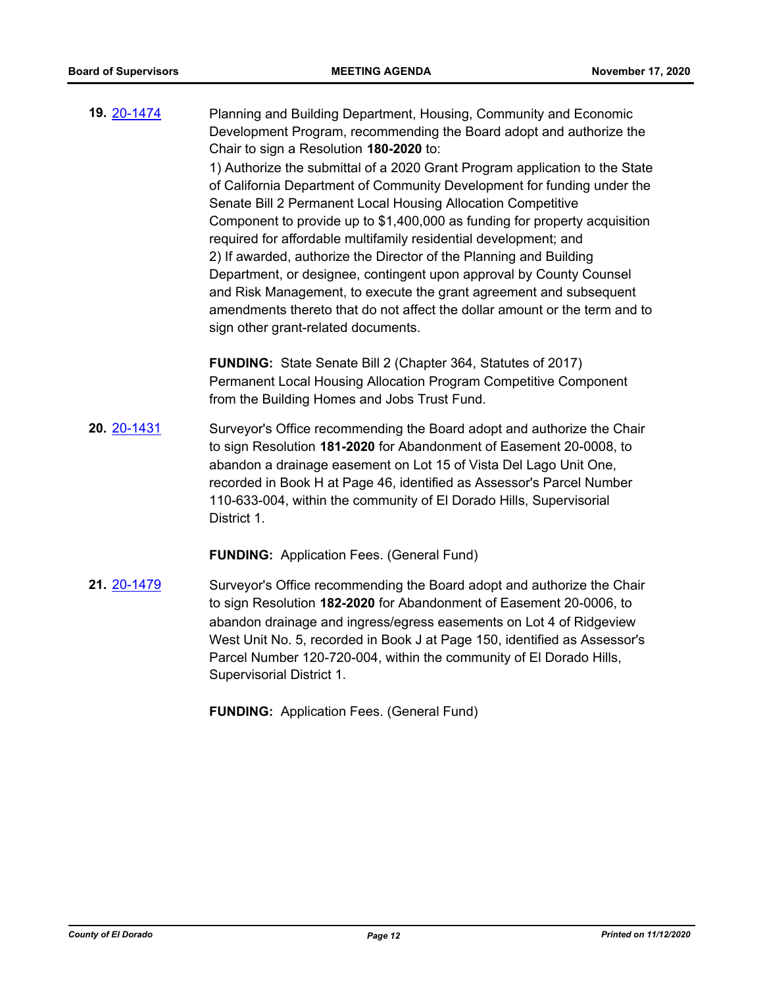**19.** [20-1474](http://eldorado.legistar.com/gateway.aspx?m=l&id=/matter.aspx?key=28683) Planning and Building Department, Housing, Community and Economic Development Program, recommending the Board adopt and authorize the Chair to sign a Resolution **180-2020** to: 1) Authorize the submittal of a 2020 Grant Program application to the State

of California Department of Community Development for funding under the Senate Bill 2 Permanent Local Housing Allocation Competitive Component to provide up to \$1,400,000 as funding for property acquisition required for affordable multifamily residential development; and 2) If awarded, authorize the Director of the Planning and Building Department, or designee, contingent upon approval by County Counsel and Risk Management, to execute the grant agreement and subsequent amendments thereto that do not affect the dollar amount or the term and to sign other grant-related documents.

**FUNDING:** State Senate Bill 2 (Chapter 364, Statutes of 2017) Permanent Local Housing Allocation Program Competitive Component from the Building Homes and Jobs Trust Fund.

**20.** [20-1431](http://eldorado.legistar.com/gateway.aspx?m=l&id=/matter.aspx?key=28640) Surveyor's Office recommending the Board adopt and authorize the Chair to sign Resolution **181-2020** for Abandonment of Easement 20-0008, to abandon a drainage easement on Lot 15 of Vista Del Lago Unit One, recorded in Book H at Page 46, identified as Assessor's Parcel Number 110-633-004, within the community of El Dorado Hills, Supervisorial District 1.

**FUNDING:** Application Fees. (General Fund)

**21.** [20-1479](http://eldorado.legistar.com/gateway.aspx?m=l&id=/matter.aspx?key=28688) Surveyor's Office recommending the Board adopt and authorize the Chair to sign Resolution **182-2020** for Abandonment of Easement 20-0006, to abandon drainage and ingress/egress easements on Lot 4 of Ridgeview West Unit No. 5, recorded in Book J at Page 150, identified as Assessor's Parcel Number 120-720-004, within the community of El Dorado Hills, Supervisorial District 1.

**FUNDING:** Application Fees. (General Fund)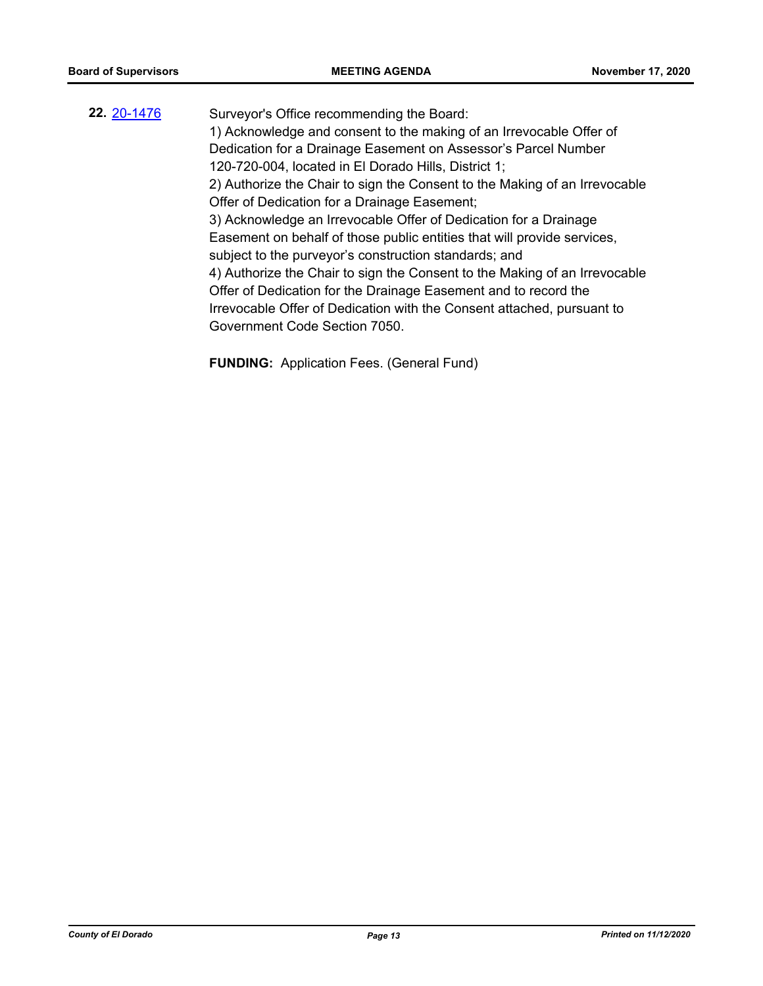**22.** [20-1476](http://eldorado.legistar.com/gateway.aspx?m=l&id=/matter.aspx?key=28685) Surveyor's Office recommending the Board: 1) Acknowledge and consent to the making of an Irrevocable Offer of Dedication for a Drainage Easement on Assessor's Parcel Number 120-720-004, located in El Dorado Hills, District 1; 2) Authorize the Chair to sign the Consent to the Making of an Irrevocable Offer of Dedication for a Drainage Easement; 3) Acknowledge an Irrevocable Offer of Dedication for a Drainage Easement on behalf of those public entities that will provide services, subject to the purveyor's construction standards; and 4) Authorize the Chair to sign the Consent to the Making of an Irrevocable Offer of Dedication for the Drainage Easement and to record the Irrevocable Offer of Dedication with the Consent attached, pursuant to Government Code Section 7050.

**FUNDING:** Application Fees. (General Fund)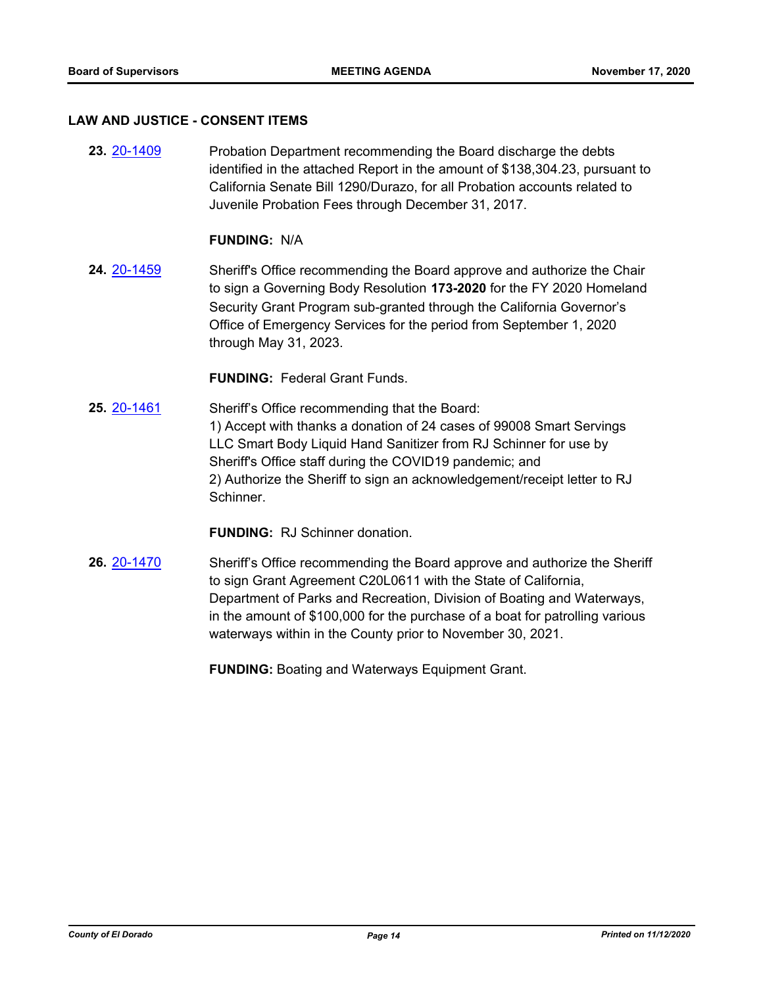#### **LAW AND JUSTICE - CONSENT ITEMS**

**23.** [20-1409](http://eldorado.legistar.com/gateway.aspx?m=l&id=/matter.aspx?key=28618) Probation Department recommending the Board discharge the debts identified in the attached Report in the amount of \$138,304.23, pursuant to California Senate Bill 1290/Durazo, for all Probation accounts related to Juvenile Probation Fees through December 31, 2017.

#### **FUNDING:** N/A

**24.** [20-1459](http://eldorado.legistar.com/gateway.aspx?m=l&id=/matter.aspx?key=28668) Sheriff's Office recommending the Board approve and authorize the Chair to sign a Governing Body Resolution **173-2020** for the FY 2020 Homeland Security Grant Program sub-granted through the California Governor's Office of Emergency Services for the period from September 1, 2020 through May 31, 2023.

#### **FUNDING:** Federal Grant Funds.

**25.** [20-1461](http://eldorado.legistar.com/gateway.aspx?m=l&id=/matter.aspx?key=28670) Sheriff's Office recommending that the Board: 1) Accept with thanks a donation of 24 cases of 99008 Smart Servings LLC Smart Body Liquid Hand Sanitizer from RJ Schinner for use by Sheriff's Office staff during the COVID19 pandemic; and 2) Authorize the Sheriff to sign an acknowledgement/receipt letter to RJ Schinner.

**FUNDING:** RJ Schinner donation.

**26.** [20-1470](http://eldorado.legistar.com/gateway.aspx?m=l&id=/matter.aspx?key=28679) Sheriff's Office recommending the Board approve and authorize the Sheriff to sign Grant Agreement C20L0611 with the State of California, Department of Parks and Recreation, Division of Boating and Waterways, in the amount of \$100,000 for the purchase of a boat for patrolling various waterways within in the County prior to November 30, 2021.

**FUNDING:** Boating and Waterways Equipment Grant.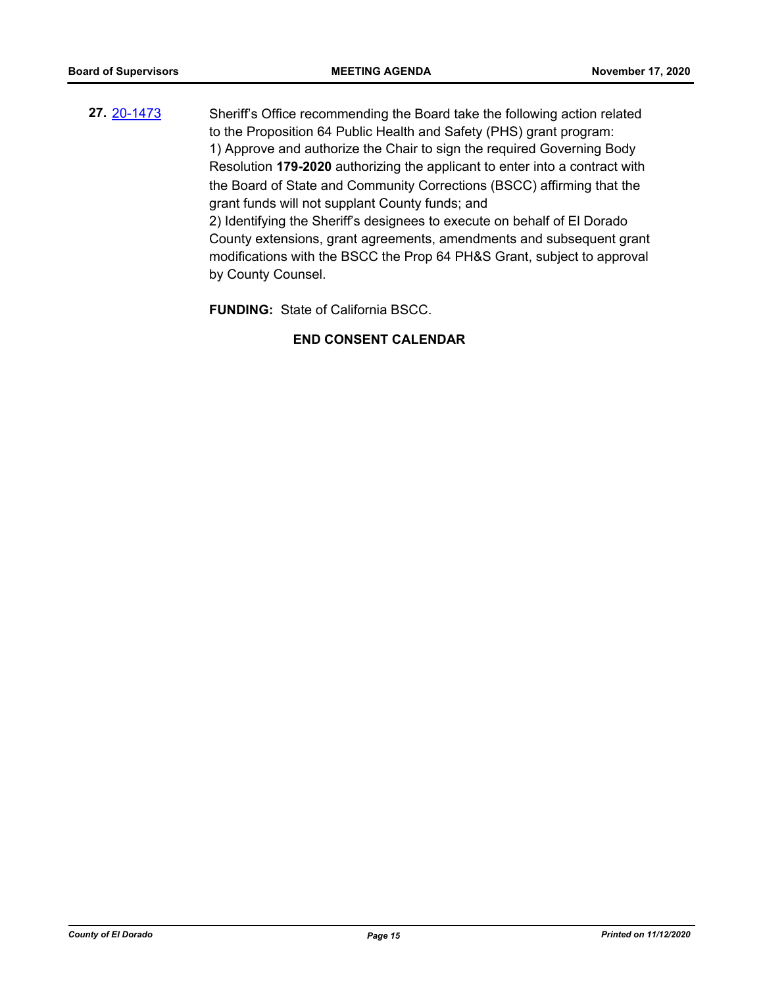**27.** [20-1473](http://eldorado.legistar.com/gateway.aspx?m=l&id=/matter.aspx?key=28682) Sheriff's Office recommending the Board take the following action related to the Proposition 64 Public Health and Safety (PHS) grant program: 1) Approve and authorize the Chair to sign the required Governing Body Resolution **179-2020** authorizing the applicant to enter into a contract with the Board of State and Community Corrections (BSCC) affirming that the grant funds will not supplant County funds; and 2) Identifying the Sheriff's designees to execute on behalf of El Dorado County extensions, grant agreements, amendments and subsequent grant modifications with the BSCC the Prop 64 PH&S Grant, subject to approval by County Counsel.

**FUNDING:** State of California BSCC.

## **END CONSENT CALENDAR**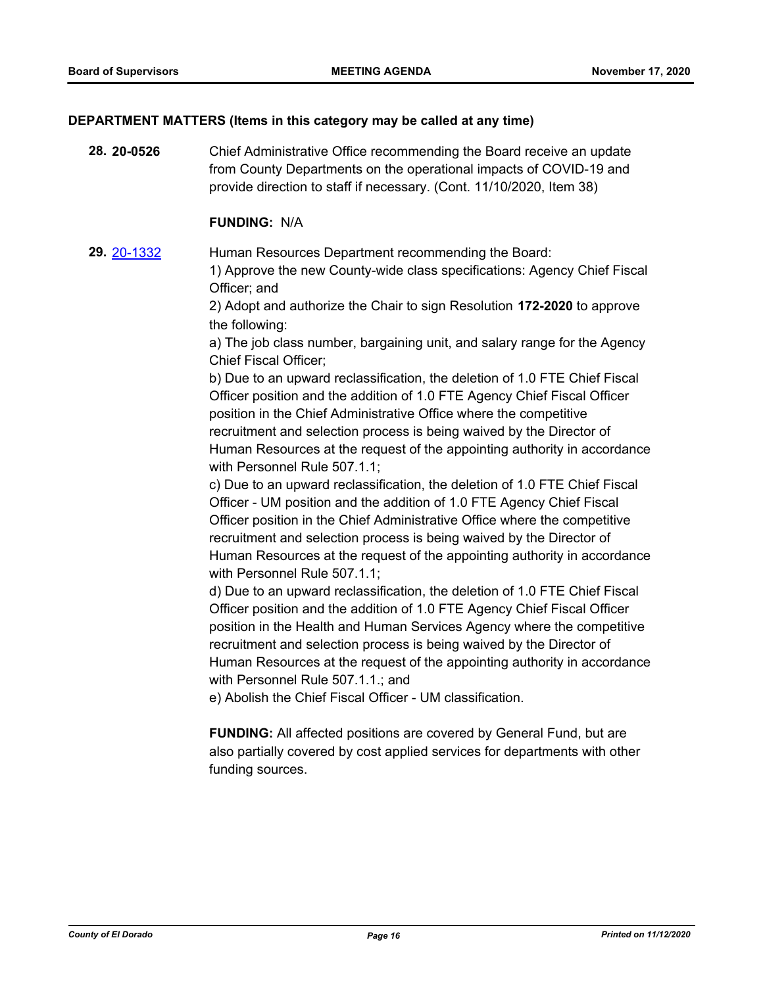#### **DEPARTMENT MATTERS (Items in this category may be called at any time)**

**28. 20-0526** Chief Administrative Office recommending the Board receive an update from County Departments on the operational impacts of COVID-19 and provide direction to staff if necessary. (Cont. 11/10/2020, Item 38)

#### **FUNDING:** N/A

**29.** [20-1332](http://eldorado.legistar.com/gateway.aspx?m=l&id=/matter.aspx?key=28540) Human Resources Department recommending the Board:

1) Approve the new County-wide class specifications: Agency Chief Fiscal Officer; and

2) Adopt and authorize the Chair to sign Resolution **172-2020** to approve the following:

a) The job class number, bargaining unit, and salary range for the Agency Chief Fiscal Officer;

b) Due to an upward reclassification, the deletion of 1.0 FTE Chief Fiscal Officer position and the addition of 1.0 FTE Agency Chief Fiscal Officer position in the Chief Administrative Office where the competitive recruitment and selection process is being waived by the Director of Human Resources at the request of the appointing authority in accordance with Personnel Rule 507.1.1;

c) Due to an upward reclassification, the deletion of 1.0 FTE Chief Fiscal Officer - UM position and the addition of 1.0 FTE Agency Chief Fiscal Officer position in the Chief Administrative Office where the competitive recruitment and selection process is being waived by the Director of Human Resources at the request of the appointing authority in accordance with Personnel Rule 507.1.1;

d) Due to an upward reclassification, the deletion of 1.0 FTE Chief Fiscal Officer position and the addition of 1.0 FTE Agency Chief Fiscal Officer position in the Health and Human Services Agency where the competitive recruitment and selection process is being waived by the Director of Human Resources at the request of the appointing authority in accordance with Personnel Rule 507.1.1.; and

e) Abolish the Chief Fiscal Officer - UM classification.

**FUNDING:** All affected positions are covered by General Fund, but are also partially covered by cost applied services for departments with other funding sources.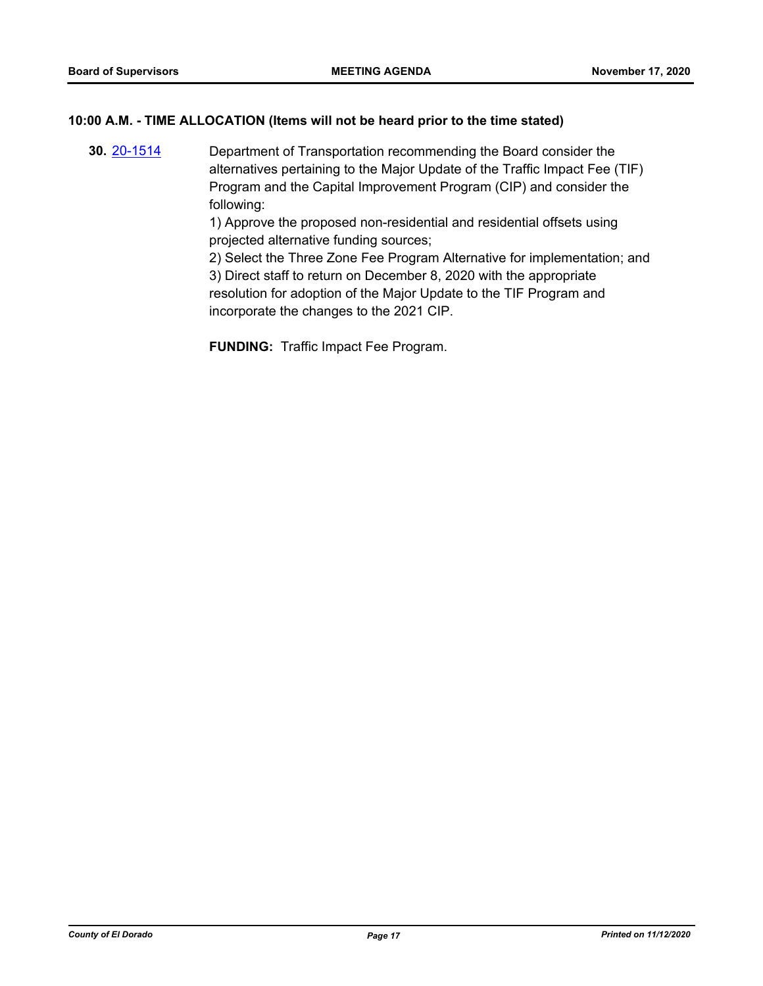## **10:00 A.M. - TIME ALLOCATION (Items will not be heard prior to the time stated)**

**30.** [20-1514](http://eldorado.legistar.com/gateway.aspx?m=l&id=/matter.aspx?key=28723) Department of Transportation recommending the Board consider the alternatives pertaining to the Major Update of the Traffic Impact Fee (TIF) Program and the Capital Improvement Program (CIP) and consider the following:

> 1) Approve the proposed non-residential and residential offsets using projected alternative funding sources;

2) Select the Three Zone Fee Program Alternative for implementation; and 3) Direct staff to return on December 8, 2020 with the appropriate resolution for adoption of the Major Update to the TIF Program and incorporate the changes to the 2021 CIP.

**FUNDING:** Traffic Impact Fee Program.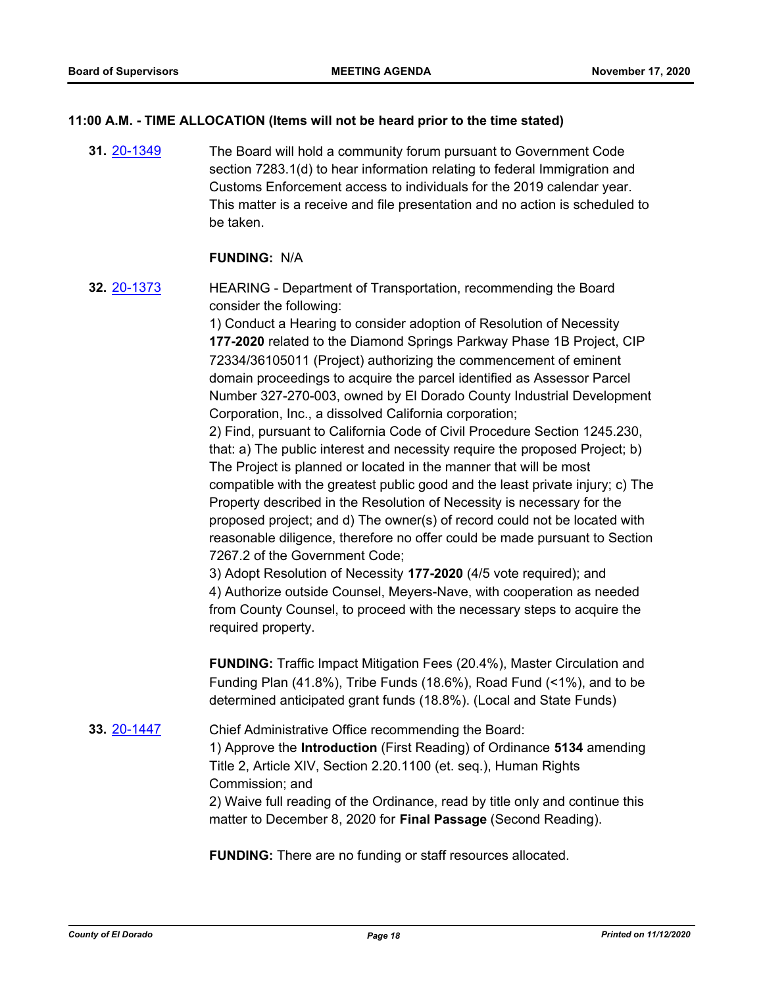## **11:00 A.M. - TIME ALLOCATION (Items will not be heard prior to the time stated)**

**31.** [20-1349](http://eldorado.legistar.com/gateway.aspx?m=l&id=/matter.aspx?key=28557) The Board will hold a community forum pursuant to Government Code section 7283.1(d) to hear information relating to federal Immigration and Customs Enforcement access to individuals for the 2019 calendar year. This matter is a receive and file presentation and no action is scheduled to be taken.

#### **FUNDING:** N/A

**32.** [20-1373](http://eldorado.legistar.com/gateway.aspx?m=l&id=/matter.aspx?key=28582) HEARING - Department of Transportation, recommending the Board consider the following:

> 1) Conduct a Hearing to consider adoption of Resolution of Necessity **177-2020** related to the Diamond Springs Parkway Phase 1B Project, CIP 72334/36105011 (Project) authorizing the commencement of eminent domain proceedings to acquire the parcel identified as Assessor Parcel Number 327-270-003, owned by El Dorado County Industrial Development Corporation, Inc., a dissolved California corporation;

> 2) Find, pursuant to California Code of Civil Procedure Section 1245.230, that: a) The public interest and necessity require the proposed Project; b) The Project is planned or located in the manner that will be most compatible with the greatest public good and the least private injury; c) The Property described in the Resolution of Necessity is necessary for the proposed project; and d) The owner(s) of record could not be located with reasonable diligence, therefore no offer could be made pursuant to Section 7267.2 of the Government Code;

3) Adopt Resolution of Necessity **177-2020** (4/5 vote required); and 4) Authorize outside Counsel, Meyers-Nave, with cooperation as needed from County Counsel, to proceed with the necessary steps to acquire the required property.

**FUNDING:** Traffic Impact Mitigation Fees (20.4%), Master Circulation and Funding Plan (41.8%), Tribe Funds (18.6%), Road Fund (<1%), and to be determined anticipated grant funds (18.8%). (Local and State Funds)

**33.** [20-1447](http://eldorado.legistar.com/gateway.aspx?m=l&id=/matter.aspx?key=28656) Chief Administrative Office recommending the Board: 1) Approve the **Introduction** (First Reading) of Ordinance **5134** amending Title 2, Article XIV, Section 2.20.1100 (et. seq.), Human Rights Commission; and 2) Waive full reading of the Ordinance, read by title only and continue this matter to December 8, 2020 for **Final Passage** (Second Reading).

**FUNDING:** There are no funding or staff resources allocated.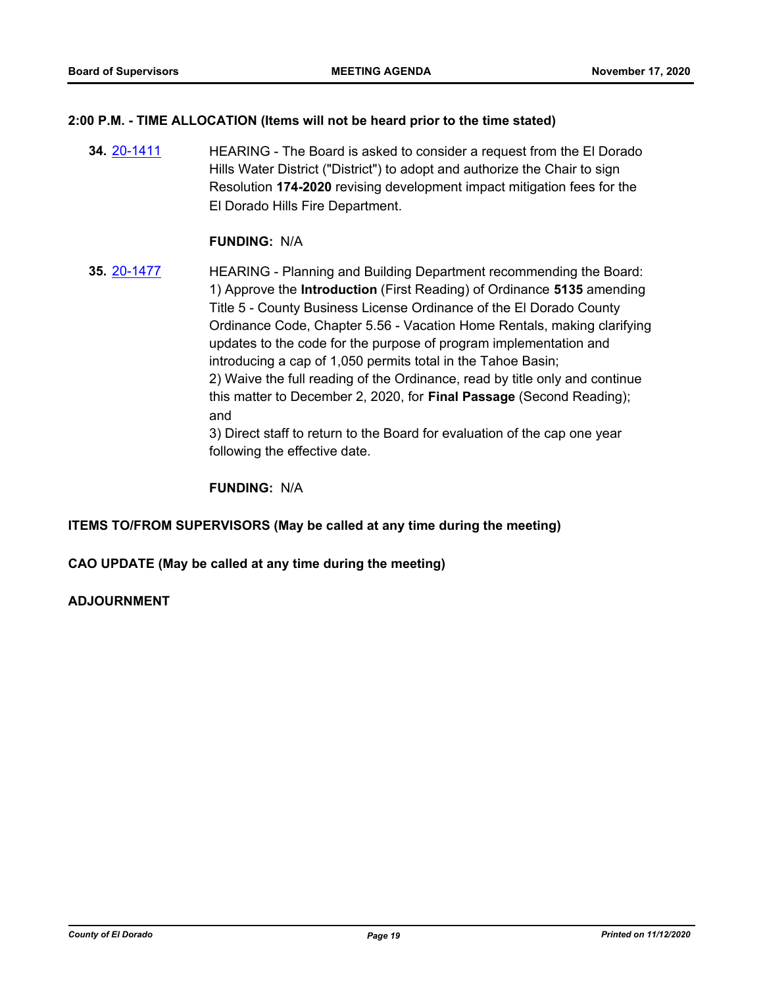## **2:00 P.M. - TIME ALLOCATION (Items will not be heard prior to the time stated)**

**34.** [20-1411](http://eldorado.legistar.com/gateway.aspx?m=l&id=/matter.aspx?key=28620) **HEARING** - The Board is asked to consider a request from the El Dorado Hills Water District ("District") to adopt and authorize the Chair to sign Resolution **174-2020** revising development impact mitigation fees for the El Dorado Hills Fire Department.

#### **FUNDING:** N/A

**35.** [20-1477](http://eldorado.legistar.com/gateway.aspx?m=l&id=/matter.aspx?key=28686) HEARING - Planning and Building Department recommending the Board: 1) Approve the **Introduction** (First Reading) of Ordinance **5135** amending Title 5 - County Business License Ordinance of the El Dorado County Ordinance Code, Chapter 5.56 - Vacation Home Rentals, making clarifying updates to the code for the purpose of program implementation and introducing a cap of 1,050 permits total in the Tahoe Basin; 2) Waive the full reading of the Ordinance, read by title only and continue this matter to December 2, 2020, for **Final Passage** (Second Reading); and

3) Direct staff to return to the Board for evaluation of the cap one year following the effective date.

**FUNDING:** N/A

#### **ITEMS TO/FROM SUPERVISORS (May be called at any time during the meeting)**

**CAO UPDATE (May be called at any time during the meeting)**

## **ADJOURNMENT**